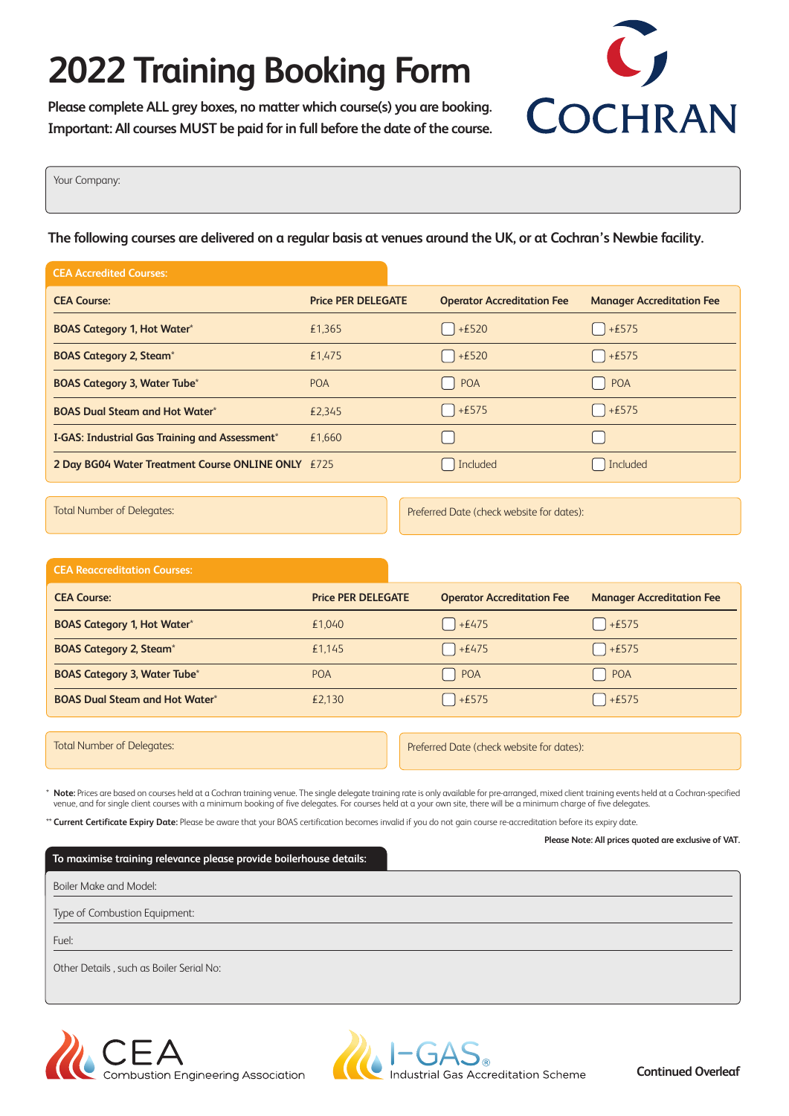# **2022 Training Booking Form**

**Please complete ALL grey boxes, no matter which course(s) you are booking. Important: All courses MUST be paid for in full before the date of the course.**



Your Company:

**The following courses are delivered on a regular basis at venues around the UK, or at Cochran's Newbie facility.**

| <b>CEA Accredited Courses:</b>                     |                           |                                   |                                  |
|----------------------------------------------------|---------------------------|-----------------------------------|----------------------------------|
| <b>CEA Course:</b>                                 | <b>Price PER DELEGATE</b> | <b>Operator Accreditation Fee</b> | <b>Manager Accreditation Fee</b> |
| <b>BOAS Category 1, Hot Water*</b>                 | £1,365                    | $+£520$                           | $\left[ \quad \right]$ + £575    |
| <b>BOAS Category 2, Steam*</b>                     | £1,475                    | $+£520$                           | $\left[ \right]$ + £575          |
| <b>BOAS Category 3, Water Tube*</b>                | <b>POA</b>                | POA                               | POA                              |
| <b>BOAS Dual Steam and Hot Water*</b>              | £2.345                    | $+£575$                           | $\left[ \quad \right]$ + £575    |
| I-GAS: Industrial Gas Training and Assessment*     | £1.660                    |                                   |                                  |
| 2 Day BG04 Water Treatment Course ONLINE ONLY £725 |                           | Included                          | Included                         |

Total Number of Delegates: Preferred Date (check website for dates):

### **CEA Reaccreditation Courses:**

| <b>CEA Course:</b>                        | <b>Price PER DELEGATE</b> | <b>Operator Accreditation Fee</b> | <b>Manager Accreditation Fee</b>                     |
|-------------------------------------------|---------------------------|-----------------------------------|------------------------------------------------------|
| <b>BOAS Category 1, Hot Water*</b>        | £1.040                    | $+£475$                           | $\begin{bmatrix} \end{bmatrix} + \pmb{\epsilon}$ 575 |
| <b>BOAS Category 2, Steam<sup>*</sup></b> | £1,145                    | $+£475$                           | $+£575$                                              |
| <b>BOAS Category 3, Water Tube*</b>       | <b>POA</b>                | POA                               | POA                                                  |
| <b>BOAS Dual Steam and Hot Water*</b>     | £2,130                    | $+£575$                           | $+£575$                                              |

Total Number of Delegates: Preferred Date (check website for dates):

\* **Note:** Prices are based on courses held at a Cochran training venue. The single delegate training rate is only available for pre-arranged, mixed client training events held at a Cochran-specified venue, and for single client courses with a minimum booking of five delegates. For courses held at a your own site, there will be a minimum charge of five delegates.

\*\* **Current Certificate Expiry Date:** Please be aware that your BOAS certification becomes invalid if you do not gain course re-accreditation before its expiry date.

| To maximise training relevance please provide boilerhouse details: |  |
|--------------------------------------------------------------------|--|
| Boiler Make and Model:                                             |  |
| Type of Combustion Equipment:                                      |  |
| Fuel:                                                              |  |
| Other Details, such as Boiler Serial No:                           |  |
|                                                                    |  |





**Please Note: All prices quoted are exclusive of VAT.**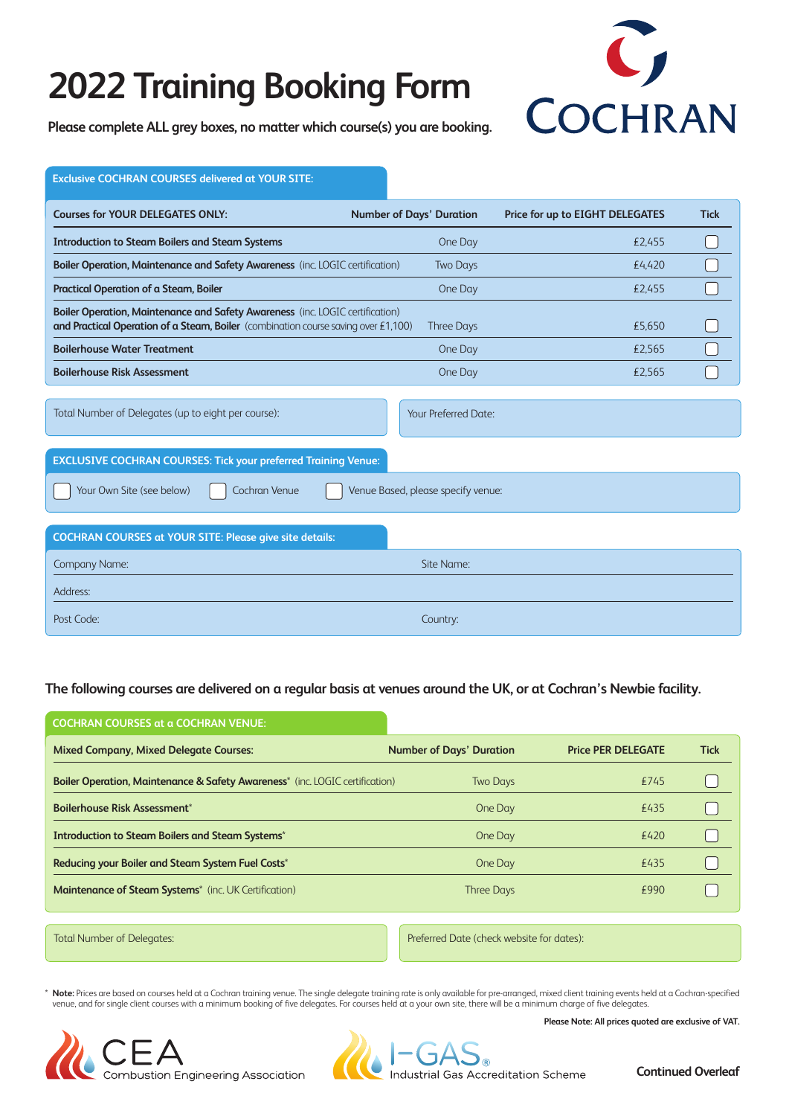## **2022 Training Booking Form**



**Please complete ALL grey boxes, no matter which course(s) you are booking.**

| <b>Exclusive COCHRAN COURSES delivered at YOUR SITE:</b>                                                                                                            |  |                                 |                                 |             |
|---------------------------------------------------------------------------------------------------------------------------------------------------------------------|--|---------------------------------|---------------------------------|-------------|
| <b>Courses for YOUR DELEGATES ONLY:</b>                                                                                                                             |  | <b>Number of Days' Duration</b> | Price for up to EIGHT DELEGATES | <b>Tick</b> |
| <b>Introduction to Steam Boilers and Steam Systems</b>                                                                                                              |  | One Day                         | £2.455                          |             |
| Boiler Operation, Maintenance and Safety Awareness (inc. LOGIC certification)                                                                                       |  | <b>Two Days</b>                 | £4.420                          |             |
| Practical Operation of a Steam, Boiler                                                                                                                              |  | One Day                         | £2,455                          |             |
| Boiler Operation, Maintenance and Safety Awareness (inc. LOGIC certification)<br>and Practical Operation of a Steam, Boiler (combination course saving over £1,100) |  | <b>Three Days</b>               | £5,650                          |             |
| <b>Boilerhouse Water Treatment</b>                                                                                                                                  |  | One Day                         | £2,565                          |             |
| <b>Boilerhouse Risk Assessment</b>                                                                                                                                  |  | One Day                         | £2,565                          |             |
| Total Number of Delegates (up to eight per course):                                                                                                                 |  | Your Preferred Date:            |                                 |             |
| <b>EXCLUSIVE COCHRAN COURSES: Tick your preferred Training Venue:</b>                                                                                               |  |                                 |                                 |             |
| Your Own Site (see below)<br>Cochran Venue<br>Venue Based, please specify venue:                                                                                    |  |                                 |                                 |             |
| <b>COCHRAN COURSES at YOUR SITE: Please give site details:</b>                                                                                                      |  |                                 |                                 |             |
| Company Name:                                                                                                                                                       |  | Site Name:                      |                                 |             |
| Address:                                                                                                                                                            |  |                                 |                                 |             |
| Post Code:                                                                                                                                                          |  | Country:                        |                                 |             |

### **The following courses are delivered on a regular basis at venues around the UK, or at Cochran's Newbie facility.**

| <b>COCHRAN COURSES at a COCHRAN VENUE:</b>                                              |                                           |                           |             |
|-----------------------------------------------------------------------------------------|-------------------------------------------|---------------------------|-------------|
| <b>Mixed Company, Mixed Delegate Courses:</b>                                           | <b>Number of Days' Duration</b>           | <b>Price PER DELEGATE</b> | <b>Tick</b> |
| <b>Boiler Operation, Maintenance &amp; Safety Awareness*</b> (inc. LOGIC certification) | <b>Two Days</b>                           | £745                      |             |
| <b>Boilerhouse Risk Assessment*</b>                                                     | One Day                                   | £435                      |             |
| <b>Introduction to Steam Boilers and Steam Systems*</b>                                 | One Day                                   | £420                      |             |
| Reducing your Boiler and Steam System Fuel Costs*                                       | One Day                                   | £435                      |             |
| <b>Maintenance of Steam Systems</b> <sup>*</sup> (inc. UK Certification)                | <b>Three Days</b>                         | £990                      |             |
|                                                                                         |                                           |                           |             |
| <b>Total Number of Delegates:</b>                                                       | Preferred Date (check website for dates): |                           |             |

\* **Note:** Prices are based on courses held at a Cochran training venue. The single delegate training rate is only available for pre-arranged, mixed client training events held at a Cochran-specified venue, and for single client courses with a minimum booking of five delegates. For courses held at a your own site, there will be a minimum charge of five delegates.